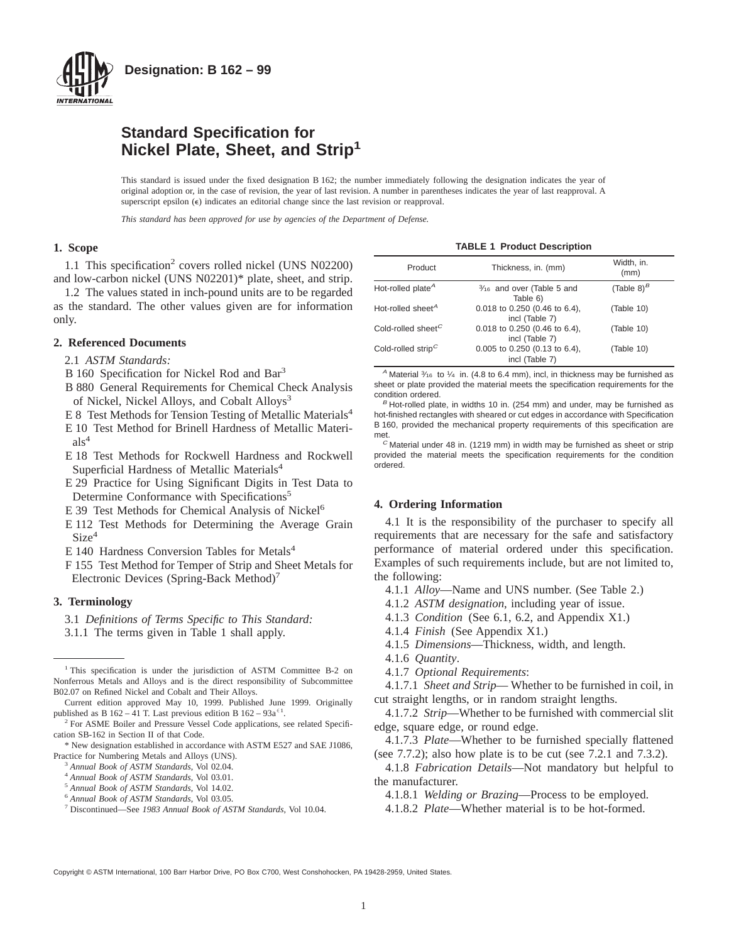

## **Standard Specification for Nickel Plate, Sheet, and Strip<sup>1</sup>**

This standard is issued under the fixed designation B 162; the number immediately following the designation indicates the year of original adoption or, in the case of revision, the year of last revision. A number in parentheses indicates the year of last reapproval. A superscript epsilon  $(\epsilon)$  indicates an editorial change since the last revision or reapproval.

*This standard has been approved for use by agencies of the Department of Defense.*

## **1. Scope**

1.1 This specification<sup>2</sup> covers rolled nickel (UNS N02200) and low-carbon nickel (UNS N02201)\* plate, sheet, and strip.

1.2 The values stated in inch-pound units are to be regarded as the standard. The other values given are for information only.

### **2. Referenced Documents**

- 2.1 *ASTM Standards:*
- B 160 Specification for Nickel Rod and Bar<sup>3</sup>
- B 880 General Requirements for Chemical Check Analysis of Nickel, Nickel Alloys, and Cobalt Alloys<sup>3</sup>
- E 8 Test Methods for Tension Testing of Metallic Materials<sup>4</sup>
- E 10 Test Method for Brinell Hardness of Metallic Materi $als<sup>4</sup>$
- E 18 Test Methods for Rockwell Hardness and Rockwell Superficial Hardness of Metallic Materials<sup>4</sup>
- E 29 Practice for Using Significant Digits in Test Data to Determine Conformance with Specifications<sup>5</sup>
- E 39 Test Methods for Chemical Analysis of Nickel<sup>6</sup>
- E 112 Test Methods for Determining the Average Grain  $Size<sup>4</sup>$
- E 140 Hardness Conversion Tables for Metals<sup>4</sup>
- F 155 Test Method for Temper of Strip and Sheet Metals for Electronic Devices (Spring-Back Method)7

### **3. Terminology**

- 3.1 *Definitions of Terms Specific to This Standard:*
- 3.1.1 The terms given in Table 1 shall apply.

- <sup>3</sup> *Annual Book of ASTM Standards*, Vol 02.04.
- <sup>4</sup> *Annual Book of ASTM Standards*, Vol 03.01.
- <sup>5</sup> *Annual Book of ASTM Standards*, Vol 14.02.
- <sup>6</sup> *Annual Book of ASTM Standards*, Vol 03.05.
- <sup>7</sup> Discontinued—See *1983 Annual Book of ASTM Standards*, Vol 10.04.

**TABLE 1 Product Description**

| Product                                    | Thickness, in. (mm)                                 | Width, in.<br>(mm) |  |
|--------------------------------------------|-----------------------------------------------------|--------------------|--|
| Hot-rolled plate <sup><math>A</math></sup> | 3/16 and over (Table 5 and<br>Table 6)              | (Table 8) $^B$     |  |
| Hot-rolled sheet <sup>A</sup>              | $0.018$ to $0.250$ (0.46 to 6.4),<br>incl (Table 7) | (Table 10)         |  |
| Cold-rolled sheet <sup>C</sup>             | $0.018$ to $0.250$ (0.46 to 6.4),<br>incl (Table 7) | (Table 10)         |  |
| Cold-rolled strip <sup>C</sup>             | 0.005 to 0.250 (0.13 to 6.4),<br>incl (Table 7)     | (Table 10)         |  |

<sup>A</sup> Material  $\frac{3}{16}$  to  $\frac{1}{4}$  in. (4.8 to 6.4 mm), incl, in thickness may be furnished as sheet or plate provided the material meets the specification requirements for the condition ordered.

 $B$  Hot-rolled plate, in widths 10 in. (254 mm) and under, may be furnished as hot-finished rectangles with sheared or cut edges in accordance with Specification B 160, provided the mechanical property requirements of this specification are met.

 $C$  Material under 48 in. (1219 mm) in width may be furnished as sheet or strip provided the material meets the specification requirements for the condition ordered.

### **4. Ordering Information**

4.1 It is the responsibility of the purchaser to specify all requirements that are necessary for the safe and satisfactory performance of material ordered under this specification. Examples of such requirements include, but are not limited to, the following:

4.1.1 *Alloy*—Name and UNS number. (See Table 2.)

- 4.1.2 *ASTM designation*, including year of issue.
- 4.1.3 *Condition* (See 6.1, 6.2, and Appendix X1.)
- 4.1.4 *Finish* (See Appendix X1.)
- 4.1.5 *Dimensions*—Thickness, width, and length.
- 4.1.6 *Quantity*.
- 4.1.7 *Optional Requirements*:

4.1.7.1 *Sheet and Strip*— Whether to be furnished in coil, in cut straight lengths, or in random straight lengths.

4.1.7.2 *Strip*—Whether to be furnished with commercial slit edge, square edge, or round edge.

4.1.7.3 *Plate*—Whether to be furnished specially flattened (see 7.7.2); also how plate is to be cut (see 7.2.1 and 7.3.2).

4.1.8 *Fabrication Details*—Not mandatory but helpful to the manufacturer.

4.1.8.1 *Welding or Brazing*—Process to be employed.

4.1.8.2 *Plate*—Whether material is to be hot-formed.

Copyright © ASTM International, 100 Barr Harbor Drive, PO Box C700, West Conshohocken, PA 19428-2959, United States.

<sup>&</sup>lt;sup>1</sup> This specification is under the jurisdiction of ASTM Committee B-2 on Nonferrous Metals and Alloys and is the direct responsibility of Subcommittee B02.07 on Refined Nickel and Cobalt and Their Alloys.

Current edition approved May 10, 1999. Published June 1999. Originally published as B 162 – 41 T. Last previous edition B  $162 - 93a^{\epsilon_1}$ .

<sup>2</sup> For ASME Boiler and Pressure Vessel Code applications, see related Specification SB-162 in Section II of that Code.

<sup>\*</sup> New designation established in accordance with ASTM E527 and SAE J1086, Practice for Numbering Metals and Alloys (UNS).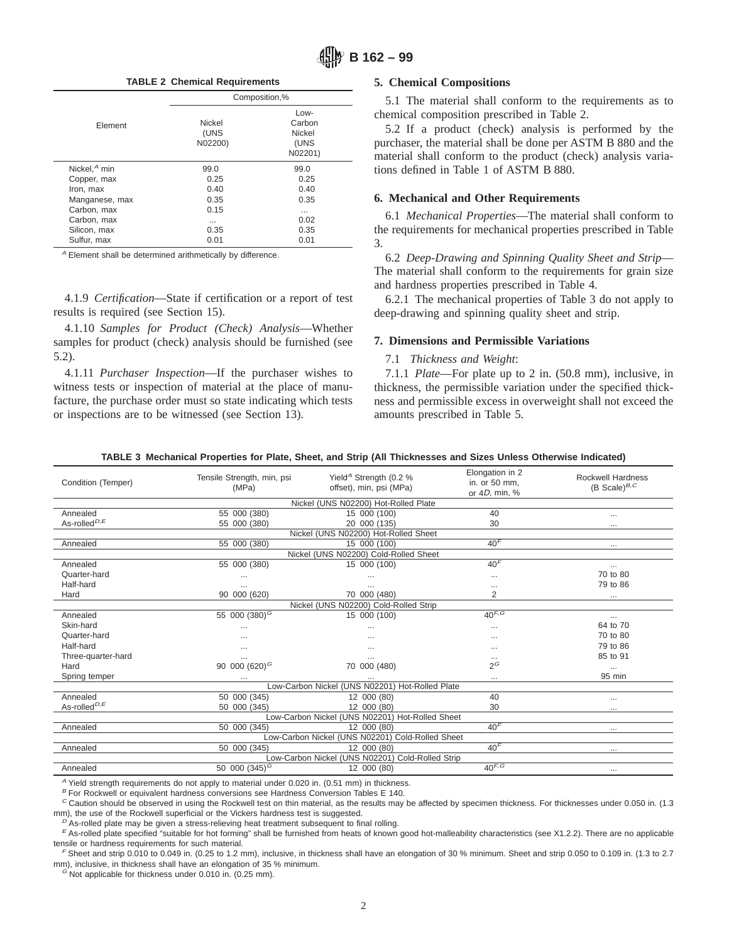**TABLE 2 Chemical Requirements**

|                 |                           | Composition,%                                        |
|-----------------|---------------------------|------------------------------------------------------|
| Element         | Nickel<br>(UNS<br>N02200) | $Low-$<br>Carbon<br><b>Nickel</b><br>(UNS<br>N02201) |
| Nickel, $A$ min | 99.0                      | 99.0                                                 |
| Copper, max     | 0.25                      | 0.25                                                 |
| Iron, max       | 0.40                      | 0.40                                                 |
| Manganese, max  | 0.35                      | 0.35                                                 |
| Carbon, max     | 0.15                      | $\cdots$                                             |
| Carbon, max     | $\cdots$                  | 0.02                                                 |
| Silicon, max    | 0.35                      | 0.35                                                 |
| Sulfur, max     | 0.01                      | 0.01                                                 |

<sup>A</sup> Element shall be determined arithmetically by difference.

4.1.9 *Certification*—State if certification or a report of test results is required (see Section 15).

4.1.10 *Samples for Product (Check) Analysis*—Whether samples for product (check) analysis should be furnished (see 5.2).

4.1.11 *Purchaser Inspection*—If the purchaser wishes to witness tests or inspection of material at the place of manufacture, the purchase order must so state indicating which tests or inspections are to be witnessed (see Section 13).

### **5. Chemical Compositions**

5.1 The material shall conform to the requirements as to chemical composition prescribed in Table 2.

5.2 If a product (check) analysis is performed by the purchaser, the material shall be done per ASTM B 880 and the material shall conform to the product (check) analysis variations defined in Table 1 of ASTM B 880.

## **6. Mechanical and Other Requirements**

6.1 *Mechanical Properties*—The material shall conform to the requirements for mechanical properties prescribed in Table 3.

6.2 *Deep-Drawing and Spinning Quality Sheet and Strip*— The material shall conform to the requirements for grain size and hardness properties prescribed in Table 4.

6.2.1 The mechanical properties of Table 3 do not apply to deep-drawing and spinning quality sheet and strip.

## **7. Dimensions and Permissible Variations**

### 7.1 *Thickness and Weight*:

7.1.1 *Plate*—For plate up to 2 in. (50.8 mm), inclusive, in thickness, the permissible variation under the specified thickness and permissible excess in overweight shall not exceed the amounts prescribed in Table 5.

|  |  |  |  | TABLE 3  Mechanical Properties for Plate, Sheet, and Strip (All Thicknesses and Sizes Unless Otherwise Indicated) |
|--|--|--|--|-------------------------------------------------------------------------------------------------------------------|
|--|--|--|--|-------------------------------------------------------------------------------------------------------------------|

| Condition (Temper)                     | Tensile Strength, min, psi<br>(MPa) | Yield <sup>A</sup> Strength (0.2 %<br>offset), min, psi (MPa) | Elongation in 2<br>in. or 50 mm.<br>or 4D, min, % | <b>Rockwell Hardness</b><br>(B Scale) $^{B,C}$ |
|----------------------------------------|-------------------------------------|---------------------------------------------------------------|---------------------------------------------------|------------------------------------------------|
|                                        |                                     | Nickel (UNS N02200) Hot-Rolled Plate                          |                                                   |                                                |
| Annealed                               | 55 000 (380)                        | 15 000 (100)                                                  | 40                                                |                                                |
| As-rolled <sup><math>D, E</math></sup> | 55 000 (380)                        | 20 000 (135)                                                  | 30                                                | $\cdots$                                       |
|                                        |                                     | Nickel (UNS N02200) Hot-Rolled Sheet                          |                                                   |                                                |
| Annealed                               | 55 000 (380)                        | 15 000 (100)                                                  | 40 <sup>F</sup>                                   | $\cdots$                                       |
|                                        |                                     | Nickel (UNS N02200) Cold-Rolled Sheet                         |                                                   |                                                |
| Annealed                               | 55 000 (380)                        | 15 000 (100)                                                  | 40 <sup>F</sup>                                   | $\cdots$                                       |
| Quarter-hard                           | $\cdots$                            |                                                               | $\cdots$                                          | 70 to 80                                       |
| Half-hard                              | $\cdots$                            |                                                               | $\cdots$                                          | 79 to 86                                       |
| Hard                                   | 90 000 (620)                        | 70 000 (480)                                                  | 2                                                 | $\cdots$                                       |
|                                        |                                     | Nickel (UNS N02200) Cold-Rolled Strip                         |                                                   |                                                |
| Annealed                               | $55\ 000\ (380)^{G}$                | 15 000 (100)                                                  | $40^{F,G}$                                        | $\cdots$                                       |
| Skin-hard                              | $\cdots$                            |                                                               | $\cdots$                                          | 64 to 70                                       |
| Quarter-hard                           | $\cdots$                            | $\cdots$                                                      | $\cdots$                                          | 70 to 80                                       |
| Half-hard                              | $\cdots$                            | $\cdots$                                                      | $\cdots$                                          | 79 to 86                                       |
| Three-quarter-hard                     |                                     |                                                               | $\cdots$                                          | 85 to 91                                       |
| Hard                                   | 90 000 $(620)^{G}$                  | 70 000 (480)                                                  | $2^G$                                             | $\cdots$                                       |
| Spring temper                          |                                     |                                                               |                                                   | 95 min                                         |
|                                        |                                     | Low-Carbon Nickel (UNS N02201) Hot-Rolled Plate               |                                                   |                                                |
| Annealed                               | 50 000 (345)                        | 12 000 (80)                                                   | 40                                                | $\cdots$                                       |
| As-rolled <sup><math>D, E</math></sup> | 50 000 (345)                        | 12 000 (80)                                                   | 30                                                | $\cdots$                                       |
|                                        |                                     | Low-Carbon Nickel (UNS N02201) Hot-Rolled Sheet               |                                                   |                                                |
| Annealed                               | 50 000 (345)                        | 12 000 (80)                                                   | 40 <sup>F</sup>                                   | $\cdots$                                       |
|                                        |                                     | Low-Carbon Nickel (UNS N02201) Cold-Rolled Sheet              |                                                   |                                                |
| Annealed                               | 50 000 (345)                        | 12 000 (80)                                                   | 40 <sup>F</sup>                                   | $\cdots$                                       |
|                                        |                                     | Low-Carbon Nickel (UNS N02201) Cold-Rolled Strip              |                                                   |                                                |
| Annealed                               | 50 000 $(345)^{G}$                  | 12 000 (80)                                                   | 40 <sup>F, G</sup>                                | $\cdots$                                       |

 $A$  Yield strength requirements do not apply to material under 0.020 in. (0.51 mm) in thickness.

 $B$  For Rockwell or equivalent hardness conversions see Hardness Conversion Tables E 140.

<sup>C</sup> Caution should be observed in using the Rockwell test on thin material, as the results may be affected by specimen thickness. For thicknesses under 0.050 in. (1.3 mm), the use of the Rockwell superficial or the Vickers hardness test is suggested.

As-rolled plate may be given a stress-relieving heat treatment subsequent to final rolling.

 $E$  As-rolled plate specified "suitable for hot forming" shall be furnished from heats of known good hot-malleability characteristics (see X1.2.2). There are no applicable tensile or hardness requirements for such material.

 $F$  Sheet and strip 0.010 to 0.049 in. (0.25 to 1.2 mm), inclusive, in thickness shall have an elongation of 30 % minimum. Sheet and strip 0.050 to 0.109 in. (1.3 to 2.7 mm), inclusive, in thickness shall have an elongation of 35 % minimum.

 $G$  Not applicable for thickness under 0.010 in. (0.25 mm).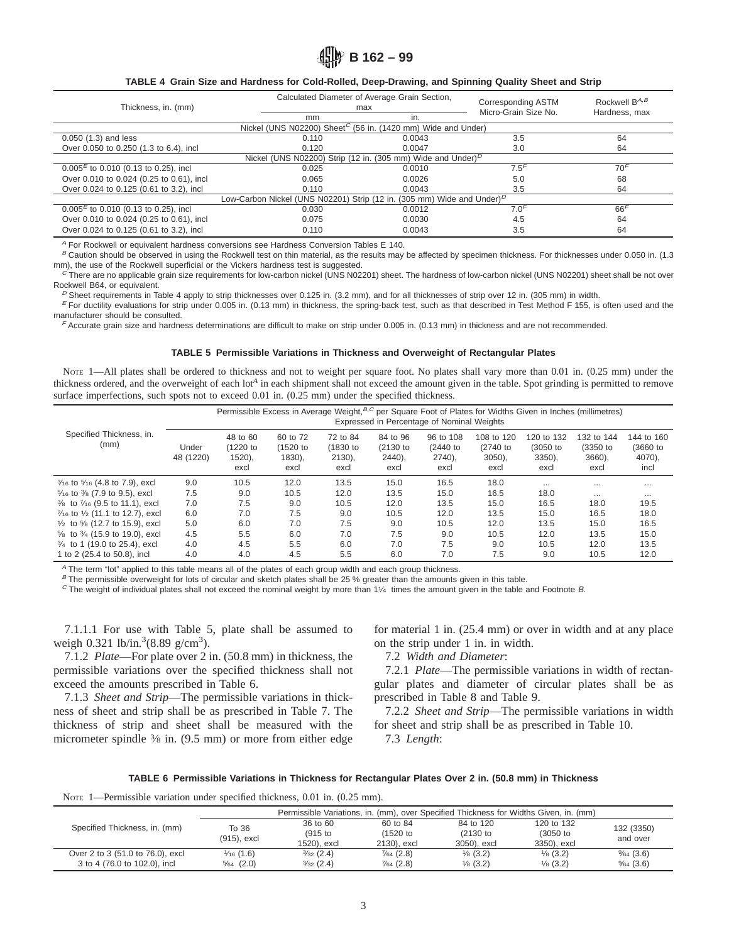### **TABLE 4 Grain Size and Hardness for Cold-Rolled, Deep-Drawing, and Spinning Quality Sheet and Strip**

| Thickness, in. (mm)                                                                  |                                                                                                 | Calculated Diameter of Average Grain Section,<br>max | Corresponding ASTM   | Rockwell $B^{A,B}$ |  |  |  |
|--------------------------------------------------------------------------------------|-------------------------------------------------------------------------------------------------|------------------------------------------------------|----------------------|--------------------|--|--|--|
|                                                                                      | mm                                                                                              | in.                                                  | Micro-Grain Size No. | Hardness, max      |  |  |  |
|                                                                                      | Nickel (UNS N02200) Sheet <sup>C</sup> (56 in. (1420 mm) Wide and Under)                        |                                                      |                      |                    |  |  |  |
| $0.050$ $(1.3)$ and less                                                             | 0.110                                                                                           | 0.0043                                               | 3.5                  | 64                 |  |  |  |
| Over 0.050 to 0.250 (1.3 to 6.4), incl                                               | 0.120                                                                                           | 0.0047                                               | 3.0                  | 64                 |  |  |  |
| Nickel (UNS N02200) Strip (12 in. (305 mm) Wide and Under) <sup><math>D</math></sup> |                                                                                                 |                                                      |                      |                    |  |  |  |
| $0.005^E$ to 0.010 (0.13 to 0.25), incl                                              | 0.025                                                                                           | 0.0010                                               | 7.5 <sup>F</sup>     | 70 <sup>F</sup>    |  |  |  |
| Over 0.010 to 0.024 (0.25 to 0.61), incl                                             | 0.065                                                                                           | 0.0026                                               | 5.0                  | 68                 |  |  |  |
| Over 0.024 to 0.125 (0.61 to 3.2), incl                                              | 0.110                                                                                           | 0.0043                                               | 3.5                  | 64                 |  |  |  |
|                                                                                      | Low-Carbon Nickel (UNS N02201) Strip (12 in. (305 mm) Wide and Under) <sup><math>D</math></sup> |                                                      |                      |                    |  |  |  |
| $0.005E$ to 0.010 (0.13 to 0.25), incl                                               | 0.030                                                                                           | 0.0012                                               | 7.0 <sup>F</sup>     | 66'                |  |  |  |
| Over 0.010 to 0.024 (0.25 to 0.61), incl                                             | 0.075                                                                                           | 0.0030                                               | 4.5                  | 64                 |  |  |  |
| Over 0.024 to 0.125 (0.61 to 3.2), incl                                              | 0.110                                                                                           | 0.0043                                               | 3.5                  | 64                 |  |  |  |

 $A$  For Rockwell or equivalent hardness conversions see Hardness Conversion Tables E 140.

 $B$  Caution should be observed in using the Rockwell test on thin material, as the results may be affected by specimen thickness. For thicknesses under 0.050 in. (1.3 mm), the use of the Rockwell superficial or the Vickers hardness test is suggested.

 $c$  There are no applicable grain size requirements for low-carbon nickel (UNS N02201) sheet. The hardness of low-carbon nickel (UNS N02201) sheet shall be not over Rockwell B64, or equivalent.

<sup>D</sup> Sheet requirements in Table 4 apply to strip thicknesses over 0.125 in. (3.2 mm), and for all thicknesses of strip over 12 in. (305 mm) in width.

 $E$  For ductility evaluations for strip under 0.005 in. (0.13 mm) in thickness, the spring-back test, such as that described in Test Method F 155, is often used and the manufacturer should be consulted.

<sup>F</sup> Accurate grain size and hardness determinations are difficult to make on strip under 0.005 in. (0.13 mm) in thickness and are not recommended.

### **TABLE 5 Permissible Variations in Thickness and Overweight of Rectangular Plates**

NOTE 1—All plates shall be ordered to thickness and not to weight per square foot. No plates shall vary more than 0.01 in. (0.25 mm) under the thickness ordered, and the overweight of each lot*<sup>A</sup>* in each shipment shall not exceed the amount given in the table. Spot grinding is permitted to remove surface imperfections, such spots not to exceed 0.01 in. (0.25 mm) under the specified thickness.

|                                                         | Permissible Excess in Average Weight, <sup>B,C</sup> per Square Foot of Plates for Widths Given in Inches (millimetres)<br>Expressed in Percentage of Nominal Weights |                                           |                                           |                                        |                                              |                                            |                                                |                                             |                                          |                                          |
|---------------------------------------------------------|-----------------------------------------------------------------------------------------------------------------------------------------------------------------------|-------------------------------------------|-------------------------------------------|----------------------------------------|----------------------------------------------|--------------------------------------------|------------------------------------------------|---------------------------------------------|------------------------------------------|------------------------------------------|
| Specified Thickness, in.<br>(mm)                        | Under<br>48 (1220)                                                                                                                                                    | 48 to 60<br>(1220 to<br>$1520$ ),<br>excl | 60 to 72<br>(1520 to<br>$1830$ ),<br>excl | 72 to 84<br>(1830 to<br>2130),<br>excl | 84 to 96<br>$(2130)$ to<br>$2440$ ),<br>excl | 96 to 108<br>(2440 to<br>$2740$ ),<br>excl | 108 to 120<br>$(2740)$ to<br>$3050$ ),<br>excl | 120 to 132<br>(3050 to<br>$3350$ ),<br>excl | 132 to 144<br>(3350 to<br>3660),<br>excl | 144 to 160<br>(3660 to<br>4070),<br>incl |
| $\frac{3}{16}$ to $\frac{5}{16}$ (4.8 to 7.9), excl     | 9.0                                                                                                                                                                   | 10.5                                      | 12.0                                      | 13.5                                   | 15.0                                         | 16.5                                       | 18.0                                           | $\cdots$                                    | $\cdots$                                 | $\cdots$                                 |
| 5/16 to 3/8 (7.9 to 9.5), excl                          | 7.5                                                                                                                                                                   | 9.0                                       | 10.5                                      | 12.0                                   | 13.5                                         | 15.0                                       | 16.5                                           | 18.0                                        | $\cdots$                                 | $\cdots$                                 |
| 3/ <sub>8</sub> to 7/ <sub>16</sub> (9.5 to 11.1), excl | 7.0                                                                                                                                                                   | 7.5                                       | 9.0                                       | 10.5                                   | 12.0                                         | 13.5                                       | 15.0                                           | 16.5                                        | 18.0                                     | 19.5                                     |
| 7/16 to 1/2 (11.1 to 12.7), excl                        | 6.0                                                                                                                                                                   | 7.0                                       | 7.5                                       | 9.0                                    | 10.5                                         | 12.0                                       | 13.5                                           | 15.0                                        | 16.5                                     | 18.0                                     |
| $\frac{1}{2}$ to $\frac{5}{8}$ (12.7 to 15.9), excl     | 5.0                                                                                                                                                                   | 6.0                                       | 7.0                                       | 7.5                                    | 9.0                                          | 10.5                                       | 12.0                                           | 13.5                                        | 15.0                                     | 16.5                                     |
| 5/8 to 3/4 (15.9 to 19.0), excl                         | 4.5                                                                                                                                                                   | 5.5                                       | 6.0                                       | 7.0                                    | 7.5                                          | 9.0                                        | 10.5                                           | 12.0                                        | 13.5                                     | 15.0                                     |
| 3/4 to 1 (19.0 to 25.4), excl                           | 4.0                                                                                                                                                                   | 4.5                                       | 5.5                                       | 6.0                                    | 7.0                                          | 7.5                                        | 9.0                                            | 10.5                                        | 12.0                                     | 13.5                                     |
| 1 to 2 (25.4 to 50.8), incl                             | 4.0                                                                                                                                                                   | 4.0                                       | 4.5                                       | 5.5                                    | 6.0                                          | 7.0                                        | 7.5                                            | 9.0                                         | 10.5                                     | 12.0                                     |

<sup>A</sup> The term "lot" applied to this table means all of the plates of each group width and each group thickness.

 $B$  The permissible overweight for lots of circular and sketch plates shall be 25 % greater than the amounts given in this table.

 $C$  The weight of individual plates shall not exceed the nominal weight by more than 11/4 times the amount given in the table and Footnote B.

7.1.1.1 For use with Table 5, plate shall be assumed to weigh  $0.321$  lb/in.<sup>3</sup> $(8.89 \text{ g/cm}^3)$ .

7.1.2 *Plate*—For plate over 2 in. (50.8 mm) in thickness, the permissible variations over the specified thickness shall not exceed the amounts prescribed in Table 6.

7.1.3 *Sheet and Strip*—The permissible variations in thickness of sheet and strip shall be as prescribed in Table 7. The thickness of strip and sheet shall be measured with the micrometer spindle 3/8 in. (9.5 mm) or more from either edge

for material 1 in. (25.4 mm) or over in width and at any place on the strip under 1 in. in width.

7.2 *Width and Diameter*:

7.2.1 *Plate*—The permissible variations in width of rectangular plates and diameter of circular plates shall be as prescribed in Table 8 and Table 9.

7.2.2 *Sheet and Strip*—The permissible variations in width for sheet and strip shall be as prescribed in Table 10. 7.3 *Length*:

### **TABLE 6 Permissible Variations in Thickness for Rectangular Plates Over 2 in. (50.8 mm) in Thickness**

NOTE 1—Permissible variation under specified thickness, 0.01 in. (0.25 mm).

|                                  |                      |                      |                      |                       | Permissible Variations, in. (mm), over Specified Thickness for Widths Given, in. (mm) |            |
|----------------------------------|----------------------|----------------------|----------------------|-----------------------|---------------------------------------------------------------------------------------|------------|
| Specified Thickness, in. (mm)    | To 36                | 36 to 60             |                      | 84 to 120<br>60 to 84 |                                                                                       | 132 (3350) |
|                                  | (915), excl          | $(915$ to            | (1520 to             | $(2130)$ to           | (3050 to                                                                              | and over   |
|                                  |                      | 1520), excl          | 2130), excl          | 3050), excl           | 3350), excl                                                                           |            |
| Over 2 to 3 (51.0 to 76.0), excl | $\frac{1}{16}$ (1.6) | $\frac{3}{32}$ (2.4) | $\frac{7}{64}$ (2.8) | $\frac{1}{8}$ (3.2)   | $\frac{1}{8}$ (3.2)                                                                   | %4(3.6)    |
| 3 to 4 (76.0 to 102.0), incl     | $\frac{5}{64}$ (2.0) | $\frac{3}{32}$ (2.4) | $\frac{7}{64}$ (2.8) | $\frac{1}{8}$ (3.2)   | $\frac{1}{8}$ (3.2)                                                                   | %4(3.6)    |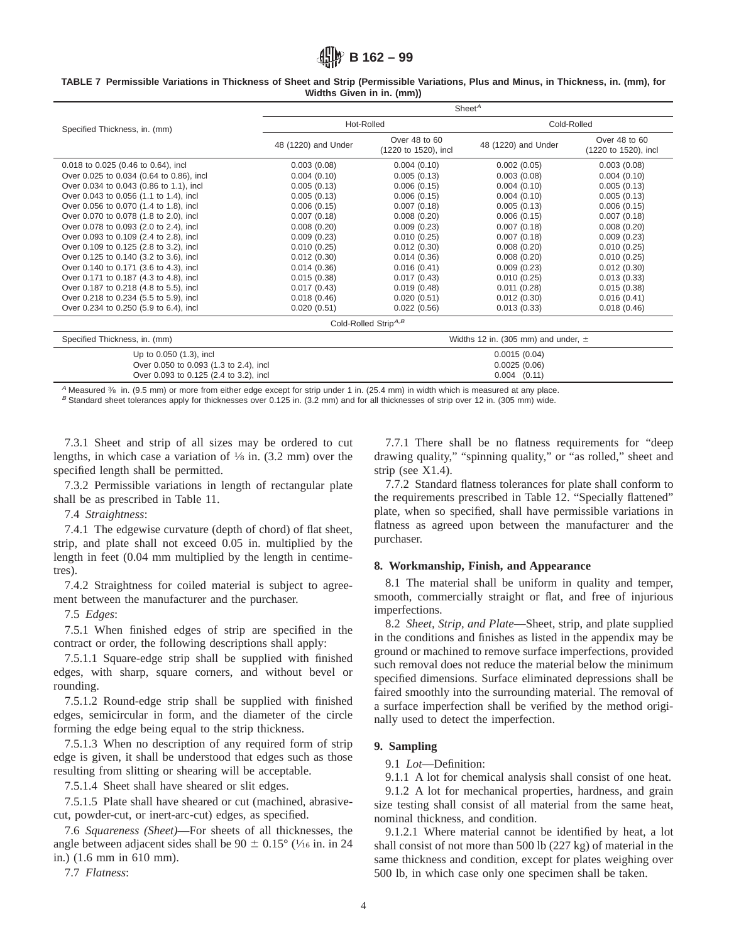|  |  |  | TABLE 7 Permissible Variations in Thickness of Sheet and Strip (Permissible Variations, Plus and Minus, in Thickness, in. (mm), for |  |  |  |
|--|--|--|-------------------------------------------------------------------------------------------------------------------------------------|--|--|--|
|  |  |  | Widths Given in in. (mm))                                                                                                           |  |  |  |

|                                          | Sheet $^A$          |                                       |                                         |                                       |  |  |  |  |
|------------------------------------------|---------------------|---------------------------------------|-----------------------------------------|---------------------------------------|--|--|--|--|
| Specified Thickness, in. (mm)            | Hot-Rolled          |                                       | Cold-Rolled                             |                                       |  |  |  |  |
|                                          | 48 (1220) and Under | Over 48 to 60<br>(1220 to 1520), incl | 48 (1220) and Under                     | Over 48 to 60<br>(1220 to 1520), incl |  |  |  |  |
| 0.018 to 0.025 (0.46 to 0.64), incl      | 0.003(0.08)         | 0.004(0.10)                           | 0.002(0.05)                             | 0.003(0.08)                           |  |  |  |  |
| Over 0.025 to 0.034 (0.64 to 0.86), incl | 0.004(0.10)         | 0.005(0.13)                           | 0.003(0.08)                             | 0.004(0.10)                           |  |  |  |  |
| Over 0.034 to 0.043 (0.86 to 1.1), incl  | 0.005(0.13)         | 0.006(0.15)                           | 0.004(0.10)                             | 0.005(0.13)                           |  |  |  |  |
| Over 0.043 to 0.056 (1.1 to 1.4), incl   | 0.005(0.13)         | 0.006(0.15)                           | 0.004(0.10)                             | 0.005(0.13)                           |  |  |  |  |
| Over 0.056 to 0.070 (1.4 to 1.8), incl   | 0.006(0.15)         | 0.007(0.18)                           | 0.005(0.13)                             | 0.006(0.15)                           |  |  |  |  |
| Over 0.070 to 0.078 (1.8 to 2.0), incl   | 0.007(0.18)         | 0.008(0.20)                           | 0.006(0.15)                             | 0.007(0.18)                           |  |  |  |  |
| Over 0.078 to 0.093 (2.0 to 2.4), incl   | 0.008(0.20)         | 0.009(0.23)                           | 0.007(0.18)                             | 0.008(0.20)                           |  |  |  |  |
| Over 0.093 to 0.109 (2.4 to 2.8), incl   | 0.009(0.23)         | 0.010(0.25)                           | 0.007(0.18)                             | 0.009(0.23)                           |  |  |  |  |
| Over 0.109 to 0.125 (2.8 to 3.2), incl   | 0.010(0.25)         | 0.012(0.30)                           | 0.008(0.20)                             | 0.010(0.25)                           |  |  |  |  |
| Over 0.125 to 0.140 (3.2 to 3.6), incl   | 0.012(0.30)         | 0.014(0.36)                           | 0.008(0.20)                             | 0.010(0.25)                           |  |  |  |  |
| Over 0.140 to 0.171 (3.6 to 4.3), incl   | 0.014(0.36)         | 0.016(0.41)                           | 0.009(0.23)                             | 0.012(0.30)                           |  |  |  |  |
| Over 0.171 to 0.187 (4.3 to 4.8), incl   | 0.015(0.38)         | 0.017(0.43)                           | 0.010(0.25)                             | 0.013(0.33)                           |  |  |  |  |
| Over 0.187 to 0.218 (4.8 to 5.5), incl   | 0.017(0.43)         | 0.019(0.48)                           | 0.011(0.28)                             | 0.015(0.38)                           |  |  |  |  |
| Over 0.218 to 0.234 (5.5 to 5.9), incl   | 0.018(0.46)         | 0.020(0.51)                           | 0.012(0.30)                             | 0.016(0.41)                           |  |  |  |  |
| Over 0.234 to 0.250 (5.9 to 6.4), incl   | 0.020(0.51)         | 0.022(0.56)                           | 0.013(0.33)                             | 0.018(0.46)                           |  |  |  |  |
|                                          |                     | Cold-Rolled Strip <sup>A,B</sup>      |                                         |                                       |  |  |  |  |
| Specified Thickness, in. (mm)            |                     |                                       | Widths 12 in. (305 mm) and under, $\pm$ |                                       |  |  |  |  |
| Up to 0.050 (1.3), incl                  |                     | 0.0015(0.04)                          |                                         |                                       |  |  |  |  |
| Over 0.050 to 0.093 (1.3 to 2.4), incl   |                     | 0.0025(0.06)                          |                                         |                                       |  |  |  |  |
| Over 0.093 to 0.125 (2.4 to 3.2), incl   |                     | $0.004$ $(0.11)$                      |                                         |                                       |  |  |  |  |

A Measured  $\frac{3}{6}$  in. (9.5 mm) or more from either edge except for strip under 1 in. (25.4 mm) in width which is measured at any place.

 $B$  Standard sheet tolerances apply for thicknesses over 0.125 in. (3.2 mm) and for all thicknesses of strip over 12 in. (305 mm) wide.

7.3.1 Sheet and strip of all sizes may be ordered to cut lengths, in which case a variation of  $\frac{1}{8}$  in. (3.2 mm) over the specified length shall be permitted.

7.3.2 Permissible variations in length of rectangular plate shall be as prescribed in Table 11.

7.4 *Straightness*:

7.4.1 The edgewise curvature (depth of chord) of flat sheet, strip, and plate shall not exceed 0.05 in. multiplied by the length in feet (0.04 mm multiplied by the length in centimetres).

7.4.2 Straightness for coiled material is subject to agreement between the manufacturer and the purchaser.

7.5 *Edges*:

7.5.1 When finished edges of strip are specified in the contract or order, the following descriptions shall apply:

7.5.1.1 Square-edge strip shall be supplied with finished edges, with sharp, square corners, and without bevel or rounding.

7.5.1.2 Round-edge strip shall be supplied with finished edges, semicircular in form, and the diameter of the circle forming the edge being equal to the strip thickness.

7.5.1.3 When no description of any required form of strip edge is given, it shall be understood that edges such as those resulting from slitting or shearing will be acceptable.

7.5.1.4 Sheet shall have sheared or slit edges.

7.5.1.5 Plate shall have sheared or cut (machined, abrasivecut, powder-cut, or inert-arc-cut) edges, as specified.

7.6 *Squareness (Sheet)*—For sheets of all thicknesses, the angle between adjacent sides shall be  $90 \pm 0.15^{\circ}$  ( $\frac{1}{16}$  in. in 24 in.) (1.6 mm in 610 mm).

7.7 *Flatness*:

7.7.1 There shall be no flatness requirements for "deep drawing quality," "spinning quality," or "as rolled," sheet and strip (see X1.4).

7.7.2 Standard flatness tolerances for plate shall conform to the requirements prescribed in Table 12. "Specially flattened" plate, when so specified, shall have permissible variations in flatness as agreed upon between the manufacturer and the purchaser.

## **8. Workmanship, Finish, and Appearance**

8.1 The material shall be uniform in quality and temper, smooth, commercially straight or flat, and free of injurious imperfections.

8.2 *Sheet, Strip, and Plate*—Sheet, strip, and plate supplied in the conditions and finishes as listed in the appendix may be ground or machined to remove surface imperfections, provided such removal does not reduce the material below the minimum specified dimensions. Surface eliminated depressions shall be faired smoothly into the surrounding material. The removal of a surface imperfection shall be verified by the method originally used to detect the imperfection.

## **9. Sampling**

## 9.1 *Lot*—Definition:

9.1.1 A lot for chemical analysis shall consist of one heat.

9.1.2 A lot for mechanical properties, hardness, and grain size testing shall consist of all material from the same heat, nominal thickness, and condition.

9.1.2.1 Where material cannot be identified by heat, a lot shall consist of not more than 500 lb (227 kg) of material in the same thickness and condition, except for plates weighing over 500 lb, in which case only one specimen shall be taken.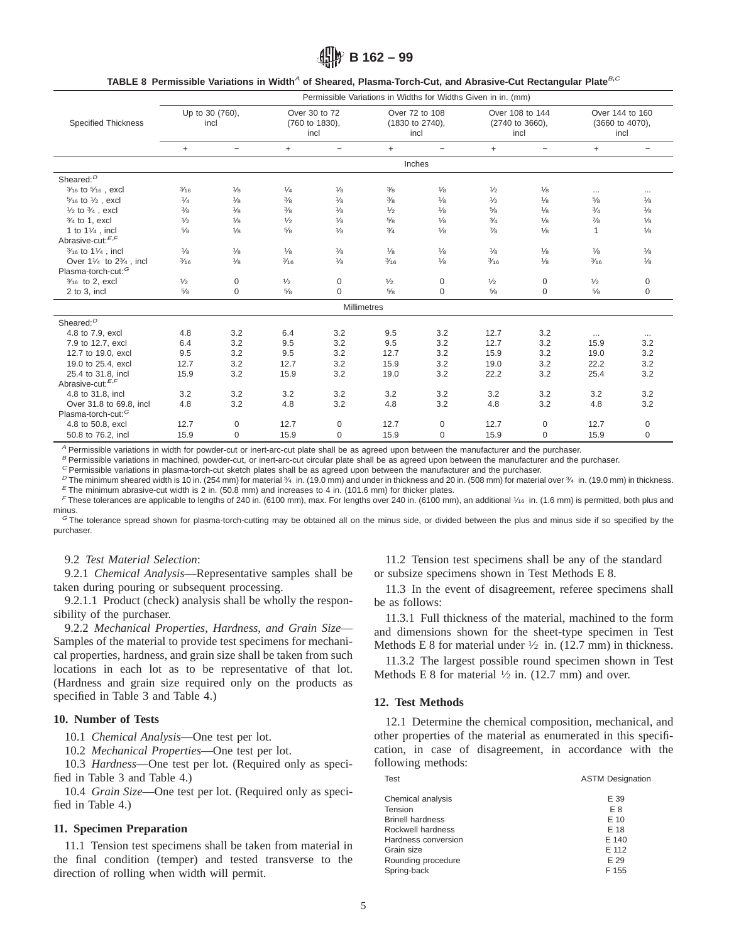**出吟 B 162 – 99** 

| TABLE 8 Permissible Variations in Width <sup>4</sup> of Sheared, Plasma-Torch-Cut, and Abrasive-Cut Rectangular Plate <sup>B,C</sup> |  |  |
|--------------------------------------------------------------------------------------------------------------------------------------|--|--|
|--------------------------------------------------------------------------------------------------------------------------------------|--|--|

|                                                          |                         |                   |                                         |                    |                                           |                          | Permissible Variations in Widths for Widths Given in in. (mm) |                          |                                            |                          |
|----------------------------------------------------------|-------------------------|-------------------|-----------------------------------------|--------------------|-------------------------------------------|--------------------------|---------------------------------------------------------------|--------------------------|--------------------------------------------|--------------------------|
| <b>Specified Thickness</b>                               | Up to 30 (760),<br>incl |                   | Over 30 to 72<br>(760 to 1830).<br>incl |                    | Over 72 to 108<br>(1830 to 2740).<br>incl |                          | Over 108 to 144<br>(2740 to 3660),<br>incl                    |                          | Over 144 to 160<br>(3660 to 4070).<br>incl |                          |
|                                                          | $+$                     | $\qquad \qquad -$ | $^{+}$                                  | $\qquad \qquad -$  | $\ddot{}$                                 | $\overline{\phantom{0}}$ | $+$                                                           | $\overline{\phantom{m}}$ | $+$                                        | $\overline{\phantom{m}}$ |
|                                                          |                         |                   |                                         |                    |                                           | Inches                   |                                                               |                          |                                            |                          |
| Sheared: <sup>D</sup>                                    |                         |                   |                                         |                    |                                           |                          |                                                               |                          |                                            |                          |
| 3/16 to 5/16, excl                                       | $\frac{3}{16}$          | $\frac{1}{8}$     | 1/4                                     | $\frac{1}{8}$      | $\frac{3}{8}$                             | $\frac{1}{8}$            | $\frac{1}{2}$                                                 | $\frac{1}{8}$            | $\cdots$                                   | $\cdots$                 |
| 5/16 to 1/2, excl                                        | 1/4                     | $\frac{1}{8}$     | $\frac{3}{8}$                           | $\frac{1}{8}$      | $\frac{3}{8}$                             | $\frac{1}{8}$            | 1/2                                                           | $\frac{1}{8}$            | 5/8                                        | $\frac{1}{8}$            |
| $\frac{1}{2}$ to $\frac{3}{4}$ , excl                    | $\frac{3}{8}$           | $\frac{1}{8}$     | $\frac{3}{8}$                           | $\frac{1}{8}$      | $\frac{1}{2}$                             | $\frac{1}{8}$            | $\frac{5}{8}$                                                 | $\frac{1}{8}$            | $\frac{3}{4}$                              | $\frac{1}{8}$            |
| $3/4$ to 1, excl                                         | $\frac{1}{2}$           | $\frac{1}{8}$     | $\frac{1}{2}$                           | $\frac{1}{8}$      | 5/8                                       | $\frac{1}{8}$            | $\frac{3}{4}$                                                 | $\frac{1}{8}$            | $^{7}/_8$                                  | $\frac{1}{8}$            |
| 1 to $1\frac{1}{4}$ , incl                               | $\frac{5}{8}$           | $\frac{1}{8}$     | $\frac{5}{8}$                           | $\frac{1}{8}$      | 3/4                                       | $\frac{1}{8}$            | $\frac{7}{8}$                                                 | $\frac{1}{8}$            | 1                                          | $\frac{1}{8}$            |
| Abrasive-cut:E,F                                         |                         |                   |                                         |                    |                                           |                          |                                                               |                          |                                            |                          |
| 3/ <sub>16</sub> to 1 <sup>1</sup> / <sub>4</sub> , incl | $\frac{1}{8}$           | $\frac{1}{8}$     | $\frac{1}{8}$                           | $\frac{1}{8}$      | $\frac{1}{8}$                             | $\frac{1}{8}$            | $\frac{1}{8}$                                                 | $\frac{1}{8}$            | $\frac{1}{8}$                              | $\frac{1}{8}$            |
| Over 11/4 to 23/4, incl                                  | $\frac{3}{16}$          | $\frac{1}{8}$     | $\frac{3}{16}$                          | $\frac{1}{8}$      | $\frac{3}{16}$                            | $\frac{1}{8}$            | $\frac{3}{16}$                                                | $\frac{1}{8}$            | $\frac{3}{16}$                             | $\frac{1}{8}$            |
| Plasma-torch-cut: <sup>G</sup>                           |                         |                   |                                         |                    |                                           |                          |                                                               |                          |                                            |                          |
| 3/ <sub>16</sub> to 2, excl                              | $\frac{1}{2}$           | 0                 | $\frac{1}{2}$                           | $\mathbf 0$        | 1/2                                       | 0                        | $\frac{1}{2}$                                                 | 0                        | 1/2                                        | 0                        |
| 2 to 3, incl                                             | $\frac{5}{8}$           | $\mathbf 0$       | $\frac{5}{8}$                           | $\mathbf 0$        | 5/8                                       | $\Omega$                 | 5/8                                                           | $\mathbf 0$              | $\frac{5}{8}$                              | $\mathbf 0$              |
|                                                          |                         |                   |                                         | <b>Millimetres</b> |                                           |                          |                                                               |                          |                                            |                          |
| Sheared: $D$                                             |                         |                   |                                         |                    |                                           |                          |                                                               |                          |                                            |                          |
| 4.8 to 7.9, excl                                         | 4.8                     | 3.2               | 6.4                                     | 3.2                | 9.5                                       | 3.2                      | 12.7                                                          | 3.2                      | $\cdots$                                   | $\cdots$                 |
| 7.9 to 12.7, excl                                        | 6.4                     | 3.2               | 9.5                                     | 3.2                | 9.5                                       | 3.2                      | 12.7                                                          | 3.2                      | 15.9                                       | 3.2                      |
| 12.7 to 19.0, excl                                       | 9.5                     | 3.2               | 9.5                                     | 3.2                | 12.7                                      | 3.2                      | 15.9                                                          | 3.2                      | 19.0                                       | 3.2                      |
| 19.0 to 25.4, excl                                       | 12.7                    | 3.2               | 12.7                                    | 3.2                | 15.9                                      | 3.2                      | 19.0                                                          | 3.2                      | 22.2                                       | 3.2                      |
| 25.4 to 31.8, incl                                       | 15.9                    | 3.2               | 15.9                                    | 3.2                | 19.0                                      | 3.2                      | 22.2                                                          | 3.2                      | 25.4                                       | 3.2                      |
| Abrasive-cut: <sup>E,F</sup>                             |                         |                   |                                         |                    |                                           |                          |                                                               |                          |                                            |                          |
| 4.8 to 31.8, incl                                        | 3.2                     | 3.2               | 3.2                                     | 3.2                | 3.2                                       | 3.2                      | 3.2                                                           | 3.2                      | 3.2                                        | 3.2                      |
| Over 31.8 to 69.8, incl                                  | 4.8                     | 3.2               | 4.8                                     | 3.2                | 4.8                                       | 3.2                      | 4.8                                                           | 3.2                      | 4.8                                        | 3.2                      |
| Plasma-torch-cut: <sup>G</sup>                           |                         |                   |                                         |                    |                                           |                          |                                                               |                          |                                            |                          |
| 4.8 to 50.8, excl                                        | 12.7                    | 0                 | 12.7                                    | 0                  | 12.7                                      | 0                        | 12.7                                                          | $\mathbf 0$              | 12.7                                       | 0                        |
| 50.8 to 76.2, incl                                       | 15.9                    | 0                 | 15.9                                    | $\mathbf 0$        | 15.9                                      | 0                        | 15.9                                                          | $\mathbf 0$              | 15.9                                       | $\boldsymbol{0}$         |

<sup>A</sup> Permissible variations in width for powder-cut or inert-arc-cut plate shall be as agreed upon between the manufacturer and the purchaser.

B Permissible variations in machined, powder-cut, or inert-arc-cut circular plate shall be as agreed upon between the manufacturer and the purchaser.

 $^c$  Permissible variations in plasma-torch-cut sketch plates shall be as agreed upon between the manufacturer and the purchaser.

D The minimum sheared width is 10 in. (254 mm) for material 3/4 in. (19.0 mm) and under in thickness and 20 in. (508 mm) for material over 3/4 in. (19.0 mm) in thickness.  $E$  The minimum abrasive-cut width is 2 in. (50.8 mm) and increases to 4 in. (101.6 mm) for thicker plates.

F These tolerances are applicable to lengths of 240 in. (6100 mm), max. For lengths over 240 in. (6100 mm), an additional 1/16 in. (1.6 mm) is permitted, both plus and minus.

<sup>chot</sup>. The tolerance spread shown for plasma-torch-cutting may be obtained all on the minus side, or divided between the plus and minus side if so specified by the purchaser.

### 9.2 *Test Material Selection*:

9.2.1 *Chemical Analysis*—Representative samples shall be taken during pouring or subsequent processing.

9.2.1.1 Product (check) analysis shall be wholly the responsibility of the purchaser.

9.2.2 *Mechanical Properties*, *Hardness*, *and Grain Size*— Samples of the material to provide test specimens for mechanical properties, hardness, and grain size shall be taken from such locations in each lot as to be representative of that lot. (Hardness and grain size required only on the products as specified in Table 3 and Table 4.)

### **10. Number of Tests**

10.1 *Chemical Analysis*—One test per lot.

10.2 *Mechanical Properties*—One test per lot.

10.3 *Hardness*—One test per lot. (Required only as specified in Table 3 and Table 4.)

10.4 *Grain Size*—One test per lot. (Required only as specified in Table 4.)

### **11. Specimen Preparation**

11.1 Tension test specimens shall be taken from material in the final condition (temper) and tested transverse to the direction of rolling when width will permit.

11.2 Tension test specimens shall be any of the standard or subsize specimens shown in Test Methods E 8.

11.3 In the event of disagreement, referee specimens shall be as follows:

11.3.1 Full thickness of the material, machined to the form and dimensions shown for the sheet-type specimen in Test Methods E 8 for material under  $\frac{1}{2}$  in. (12.7 mm) in thickness.

11.3.2 The largest possible round specimen shown in Test Methods E 8 for material  $\frac{1}{2}$  in. (12.7 mm) and over.

### **12. Test Methods**

12.1 Determine the chemical composition, mechanical, and other properties of the material as enumerated in this specification, in case of disagreement, in accordance with the following methods:

| <b>Test</b>             | <b>ASTM Designation</b> |
|-------------------------|-------------------------|
| Chemical analysis       | E 39                    |
| Tension                 | E 8                     |
| <b>Brinell hardness</b> | E 10                    |
| Rockwell hardness       | E 18                    |
| Hardness conversion     | E 140                   |
| Grain size              | E 112                   |
| Rounding procedure      | E 29                    |
| Spring-back             | F 155                   |
|                         |                         |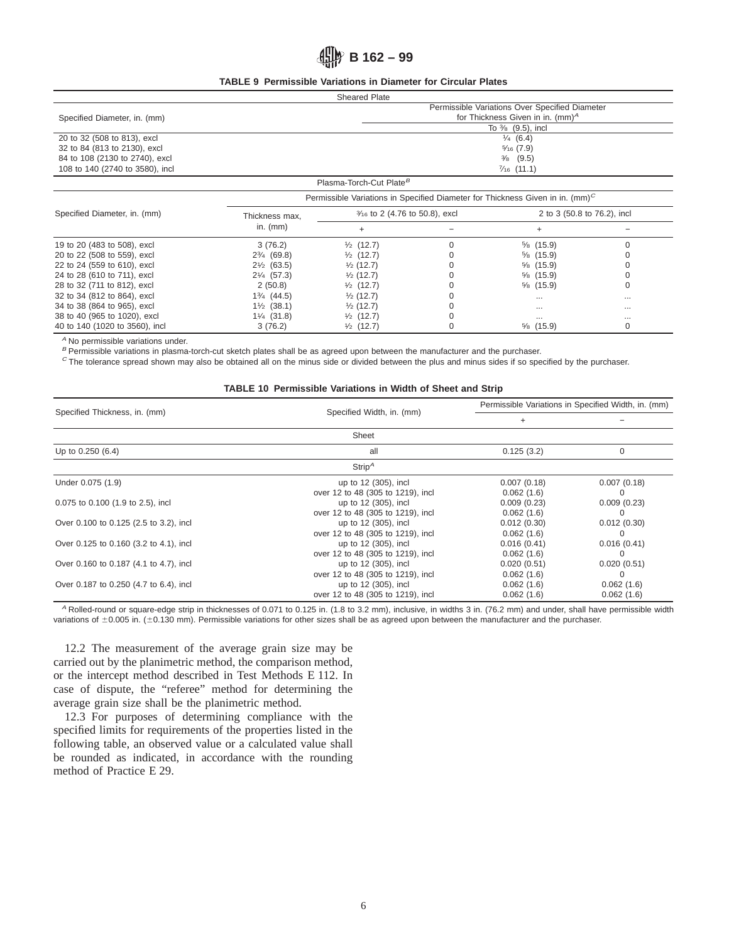## **ASSED** B 162 – 99

## **TABLE 9 Permissible Variations in Diameter for Circular Plates**

| <b>Sheared Plate</b>            |                                                |                                                                                           |  |  |  |  |  |  |
|---------------------------------|------------------------------------------------|-------------------------------------------------------------------------------------------|--|--|--|--|--|--|
|                                 | Permissible Variations Over Specified Diameter |                                                                                           |  |  |  |  |  |  |
| Specified Diameter, in. (mm)    | for Thickness Given in in. (mm) <sup>A</sup>   |                                                                                           |  |  |  |  |  |  |
|                                 |                                                | To $\frac{3}{8}$ (9.5), incl                                                              |  |  |  |  |  |  |
| 20 to 32 (508 to 813), excl     | $\frac{1}{4}$ (6.4)                            |                                                                                           |  |  |  |  |  |  |
| 32 to 84 (813 to 2130), excl    |                                                | $\frac{5}{16}$ (7.9)                                                                      |  |  |  |  |  |  |
| 84 to 108 (2130 to 2740), excl  | $\frac{3}{8}$ (9.5)                            |                                                                                           |  |  |  |  |  |  |
| 108 to 140 (2740 to 3580), incl | $\frac{7}{16}$ (11.1)                          |                                                                                           |  |  |  |  |  |  |
|                                 |                                                | Plasma-Torch-Cut Plate <sup>B</sup>                                                       |  |  |  |  |  |  |
|                                 |                                                | Permissible Variations in Specified Diameter for Thickness Given in in. (mm) <sup>C</sup> |  |  |  |  |  |  |
| Specified Diameter, in. (mm)    | Thickness max                                  | 3/16 to 2 (4.76 to 50.8), excl<br>2 to 3 (50.8 to 76.2), incl                             |  |  |  |  |  |  |

| Specified Diameter, in. (mm)   | Thickness max,          | $\frac{9}{16}$ to $\angle$ (4.70 to 50.8), excl | $\angle$ to 3 (50.8 to /6.2), incl |          |  |
|--------------------------------|-------------------------|-------------------------------------------------|------------------------------------|----------|--|
|                                | in. $(mm)$              |                                                 |                                    |          |  |
| 19 to 20 (483 to 508), excl    | 3(76.2)                 | $\frac{1}{2}$ (12.7)                            | $\frac{5}{8}$ (15.9)               |          |  |
| 20 to 22 (508 to 559), excl    | $2\frac{3}{4}$ (69.8)   | $\frac{1}{2}$ (12.7)                            | $\frac{5}{8}$ (15.9)               |          |  |
| 22 to 24 (559 to 610), excl    | $2\frac{1}{2}$ (63.5)   | $\frac{1}{2}$ (12.7)                            | $\frac{5}{6}$ (15.9)               |          |  |
| 24 to 28 (610 to 711), excl    | $2\frac{1}{4}$ (57.3)   | $\frac{1}{2}$ (12.7)                            | $\frac{5}{6}$ (15.9)               |          |  |
| 28 to 32 (711 to 812), excl    | 2(50.8)                 | $\frac{1}{2}$ (12.7)                            | $\frac{5}{6}$ (15.9)               |          |  |
| 32 to 34 (812 to 864), excl    | 13/ <sub>4</sub> (44.5) | $\frac{1}{2}$ (12.7)                            | $\cdots$                           | $\cdots$ |  |
| 34 to 38 (864 to 965), excl    | $1\frac{1}{2}$ (38.1)   | $\frac{1}{2}$ (12.7)                            | $\cdots$                           | $\cdots$ |  |
| 38 to 40 (965 to 1020), excl   | $1\frac{1}{4}$ (31.8)   | $\frac{1}{2}$ (12.7)                            | $\cdots$                           | $\cdots$ |  |
| 40 to 140 (1020 to 3560), incl | 3(76.2)                 | $\frac{1}{2}$ (12.7)                            | $\frac{5}{6}$ (15.9)               |          |  |

<sup>A</sup> No permissible variations under.

B Permissible variations in plasma-torch-cut sketch plates shall be as agreed upon between the manufacturer and the purchaser.

 $\degree$  The tolerance spread shown may also be obtained all on the minus side or divided between the plus and minus sides if so specified by the purchaser.

#### **TABLE 10 Permissible Variations in Width of Sheet and Strip**

|                                        |                                   |             | Permissible Variations in Specified Width, in. (mm) |  |  |  |
|----------------------------------------|-----------------------------------|-------------|-----------------------------------------------------|--|--|--|
| Specified Thickness, in. (mm)          | Specified Width, in. (mm)         | $\ddot{}$   |                                                     |  |  |  |
|                                        | Sheet                             |             |                                                     |  |  |  |
| Up to 0.250 (6.4)                      | all                               | 0.125(3.2)  | 0                                                   |  |  |  |
|                                        | Strip <sup>A</sup>                |             |                                                     |  |  |  |
| Under 0.075 (1.9)                      | up to 12 (305), incl              | 0.007(0.18) | 0.007(0.18)                                         |  |  |  |
|                                        | over 12 to 48 (305 to 1219), incl | 0.062(1.6)  |                                                     |  |  |  |
| 0.075 to 0.100 (1.9 to 2.5), incl      | up to 12 (305), incl              | 0.009(0.23) | 0.009(0.23)                                         |  |  |  |
|                                        | over 12 to 48 (305 to 1219), incl | 0.062(1.6)  |                                                     |  |  |  |
| Over 0.100 to 0.125 (2.5 to 3.2), incl | up to 12 (305), incl              | 0.012(0.30) | 0.012(0.30)                                         |  |  |  |
|                                        | over 12 to 48 (305 to 1219), incl | 0.062(1.6)  |                                                     |  |  |  |
| Over 0.125 to 0.160 (3.2 to 4.1), incl | up to 12 (305), incl              | 0.016(0.41) | 0.016(0.41)                                         |  |  |  |
|                                        | over 12 to 48 (305 to 1219), incl | 0.062(1.6)  |                                                     |  |  |  |
| Over 0.160 to 0.187 (4.1 to 4.7), incl | up to 12 (305), incl              | 0.020(0.51) | 0.020(0.51)                                         |  |  |  |
|                                        | over 12 to 48 (305 to 1219), incl | 0.062(1.6)  |                                                     |  |  |  |
| Over 0.187 to 0.250 (4.7 to 6.4), incl | up to 12 (305), incl              | 0.062(1.6)  | 0.062(1.6)                                          |  |  |  |
|                                        | over 12 to 48 (305 to 1219), incl | 0.062(1.6)  | 0.062(1.6)                                          |  |  |  |

<sup>A</sup> Rolled-round or square-edge strip in thicknesses of 0.071 to 0.125 in. (1.8 to 3.2 mm), inclusive, in widths 3 in. (76.2 mm) and under, shall have permissible width variations of  $\pm 0.005$  in. ( $\pm 0.130$  mm). Permissible variations for other sizes shall be as agreed upon between the manufacturer and the purchaser.

12.2 The measurement of the average grain size may be carried out by the planimetric method, the comparison method, or the intercept method described in Test Methods E 112. In case of dispute, the "referee" method for determining the average grain size shall be the planimetric method.

12.3 For purposes of determining compliance with the specified limits for requirements of the properties listed in the following table, an observed value or a calculated value shall be rounded as indicated, in accordance with the rounding method of Practice E 29.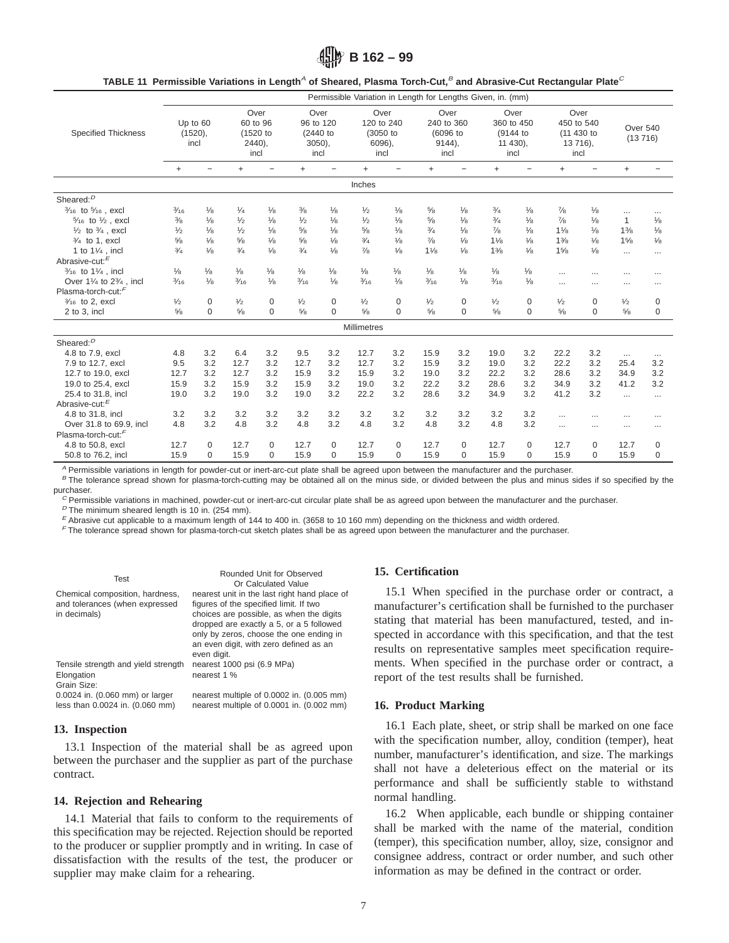**B 162 – 99**

|  | TABLE 11 Permissible Variations in Length <sup>A</sup> of Sheared, Plasma Torch-Cut, <sup>B</sup> and Abrasive-Cut Rectangular Plate <sup>C</sup> |  |  |
|--|---------------------------------------------------------------------------------------------------------------------------------------------------|--|--|
|--|---------------------------------------------------------------------------------------------------------------------------------------------------|--|--|

|                                             |                        |                   |                              |                   |                               |               |                                |                          | Permissible Variation in Length for Lengths Given, in. (mm) |                          |                                |                          |                                  |                          |                |               |
|---------------------------------------------|------------------------|-------------------|------------------------------|-------------------|-------------------------------|---------------|--------------------------------|--------------------------|-------------------------------------------------------------|--------------------------|--------------------------------|--------------------------|----------------------------------|--------------------------|----------------|---------------|
| <b>Specified Thickness</b>                  | Up to 60<br>$(1520)$ , |                   | Over<br>60 to 96<br>(1520 to |                   | Over<br>96 to 120<br>(2440 to |               | Over<br>120 to 240<br>(3050 to |                          | Over<br>240 to 360<br>(6096 to                              |                          | Over<br>360 to 450<br>(9144 to |                          | Over<br>450 to 540<br>(11 430 to |                          | Over 540       |               |
|                                             | incl                   |                   | $2440$ ),                    |                   | $3050$ ),                     |               |                                | 6096).                   |                                                             | $9144$ ),                |                                | 11 430).                 |                                  | 13 716),                 | (13716)        |               |
|                                             |                        |                   |                              | incl              | incl                          |               | incl                           |                          |                                                             | incl                     |                                | incl                     | incl                             |                          |                |               |
|                                             | $+$                    | $\qquad \qquad -$ | $\ddot{}$                    | $\qquad \qquad -$ | $\ddot{}$                     |               | $\ddot{}$                      | $\overline{\phantom{0}}$ | $+$                                                         | $\overline{\phantom{0}}$ | $\ddot{}$                      | $\overline{\phantom{0}}$ | $^{+}$                           | $\overline{\phantom{0}}$ | $\ddot{}$      |               |
|                                             |                        |                   |                              |                   |                               |               | Inches                         |                          |                                                             |                          |                                |                          |                                  |                          |                |               |
| Sheared: <sup>D</sup>                       |                        |                   |                              |                   |                               |               |                                |                          |                                                             |                          |                                |                          |                                  |                          |                |               |
| 3/ <sub>16</sub> to 5/ <sub>16</sub> , excl | $\frac{3}{16}$         | $\frac{1}{8}$     | 1/4                          | $\frac{1}{8}$     | 3/8                           | $\frac{1}{8}$ | $\frac{1}{2}$                  | $\frac{1}{8}$            | $\frac{5}{8}$                                               | $\frac{1}{8}$            | $\frac{3}{4}$                  | $\frac{1}{8}$            | $^{7}/_8$                        | $\frac{1}{8}$            | $\cdots$       |               |
| $5/16$ to $1/2$ , excl                      | $\frac{3}{8}$          | 1/8               | 1/2                          | 1/8               | 1/2                           | 1/8           | $\frac{1}{2}$                  | 1/8                      | 5/8                                                         | 1/8                      | 3/4                            | 1/8                      | $\frac{7}{8}$                    | 1/8                      | $\mathbf{1}$   | 1/8           |
| $\frac{1}{2}$ to $\frac{3}{4}$ , excl       | $\frac{1}{2}$          | 1/8               | 1/2                          | $\frac{1}{8}$     | $\frac{5}{8}$                 | 1/8           | $\frac{5}{8}$                  | $\frac{1}{8}$            | 3/4                                                         | 1/8                      | $\frac{7}{8}$                  | $\frac{1}{8}$            | $1\frac{1}{8}$                   | $\frac{1}{8}$            | $1\frac{3}{8}$ | $\frac{1}{8}$ |
| $3/4$ to 1, excl                            | $\frac{5}{8}$          | 1/8               | $\frac{5}{8}$                | $\frac{1}{8}$     | $\frac{5}{8}$                 | $\frac{1}{8}$ | $\frac{3}{4}$                  | $\frac{1}{8}$            | $\frac{7}{8}$                                               | $\frac{1}{8}$            | 11/8                           | 1/8                      | $1\frac{3}{8}$                   | 1/8                      | 15/8           | 1/8           |
| 1 to 11/4, incl                             | 3/4                    | 1/8               | 3/4                          | 1/8               | 3/4                           | 1/8           | $\frac{7}{8}$                  | 1/8                      | 11/8                                                        | 1/8                      | 13/8                           | $\frac{1}{8}$            | 15/8                             | 1/8                      | $\cdots$       |               |
| Abrasive-cut: <sup>E</sup>                  |                        |                   |                              |                   |                               |               |                                |                          |                                                             |                          |                                |                          |                                  |                          |                |               |
| 3/ <sub>16</sub> to 11/ <sub>4</sub> , incl | $\frac{1}{8}$          | $\frac{1}{8}$     | $\frac{1}{8}$                | $\frac{1}{8}$     | $\frac{1}{8}$                 | $\frac{1}{8}$ | $\frac{1}{8}$                  | $\frac{1}{8}$            | $\frac{1}{8}$                                               | $\frac{1}{8}$            | $\frac{1}{8}$                  | $\frac{1}{8}$            | $\cdots$                         | .                        | $\cdots$       |               |
| Over 11/4 to 23/4, incl                     | $\frac{3}{16}$         | $\frac{1}{8}$     | $\frac{3}{16}$               | $\frac{1}{8}$     | $\frac{3}{16}$                | $\frac{1}{8}$ | $\frac{3}{16}$                 | $\frac{1}{8}$            | $\frac{3}{16}$                                              | $\frac{1}{8}$            | $\frac{3}{16}$                 | $\frac{1}{8}$            | $\cdots$                         | $\cdots$                 | $\cdots$       |               |
| Plasma-torch-cut: <sup>F</sup>              |                        |                   |                              |                   |                               |               |                                |                          |                                                             |                          |                                |                          |                                  |                          |                |               |
| 3/ <sub>16</sub> to 2, excl                 | $\frac{1}{2}$          | $\mathbf 0$       | $\frac{1}{2}$                | 0                 | $\frac{1}{2}$                 | 0             | $\frac{1}{2}$                  | $\mathbf 0$              | $\frac{1}{2}$                                               | $\mathbf 0$              | $\frac{1}{2}$                  | $\mathbf 0$              | $\frac{1}{2}$                    | 0                        | $\frac{1}{2}$  | 0             |
| 2 to 3, incl                                | $\frac{5}{8}$          | $\Omega$          | $\frac{5}{8}$                | $\mathbf 0$       | $\frac{5}{8}$                 | $\Omega$      | 5/8                            | $\Omega$                 | $\frac{5}{8}$                                               | $\Omega$                 | $\frac{5}{8}$                  | $\Omega$                 | $\frac{5}{8}$                    | $\Omega$                 | 5/8            | $\Omega$      |
|                                             |                        |                   |                              |                   |                               |               | Millimetres                    |                          |                                                             |                          |                                |                          |                                  |                          |                |               |
| Sheared: <sup>D</sup>                       |                        |                   |                              |                   |                               |               |                                |                          |                                                             |                          |                                |                          |                                  |                          |                |               |
| 4.8 to 7.9, excl                            | 4.8                    | 3.2               | 6.4                          | 3.2               | 9.5                           | 3.2           | 12.7                           | 3.2                      | 15.9                                                        | 3.2                      | 19.0                           | 3.2                      | 22.2                             | 3.2                      | $\cdots$       |               |
| 7.9 to 12.7, excl                           | 9.5                    | 3.2               | 12.7                         | 3.2               | 12.7                          | 3.2           | 12.7                           | 3.2                      | 15.9                                                        | 3.2                      | 19.0                           | 3.2                      | 22.2                             | 3.2                      | 25.4           | 3.2           |
| 12.7 to 19.0, excl                          | 12.7                   | 3.2               | 12.7                         | 3.2               | 15.9                          | 3.2           | 15.9                           | 3.2                      | 19.0                                                        | 3.2                      | 22.2                           | 3.2                      | 28.6                             | 3.2                      | 34.9           | 3.2           |
| 19.0 to 25.4, excl                          | 15.9                   | 3.2               | 15.9                         | 3.2               | 15.9                          | 3.2           | 19.0                           | 3.2                      | 22.2                                                        | 3.2                      | 28.6                           | 3.2                      | 34.9                             | 3.2                      | 41.2           | 3.2           |
| 25.4 to 31.8. incl                          | 19.0                   | 3.2               | 19.0                         | 3.2               | 19.0                          | 3.2           | 22.2                           | 3.2                      | 28.6                                                        | 3.2                      | 34.9                           | 3.2                      | 41.2                             | 3.2                      | $\cdots$       | $\cdots$      |
| Abrasive-cut: <sup>E</sup>                  |                        |                   |                              |                   |                               |               |                                |                          |                                                             |                          |                                |                          |                                  |                          |                |               |
| 4.8 to 31.8, incl                           | 3.2                    | 3.2               | 3.2                          | 3.2               | 3.2                           | 3.2           | 3.2                            | 3.2                      | 3.2                                                         | 3.2                      | 3.2                            | 3.2                      | $\cdots$                         |                          |                |               |
| Over 31.8 to 69.9, incl                     | 4.8                    | 3.2               | 4.8                          | 3.2               | 4.8                           | 3.2           | 4.8                            | 3.2                      | 4.8                                                         | 3.2                      | 4.8                            | 3.2                      | $\cdots$                         | $\cdots$                 | $\cdots$       |               |
| Plasma-torch-cut: <sup>F</sup>              |                        |                   |                              |                   |                               |               |                                |                          |                                                             |                          |                                |                          |                                  |                          |                |               |
| 4.8 to 50.8, excl                           | 12.7                   | 0                 | 12.7                         | $\mathbf 0$       | 12.7                          | $\mathbf 0$   | 12.7                           | $\mathbf 0$              | 12.7                                                        | $\mathbf 0$              | 12.7                           | $\Omega$                 | 12.7                             | $\Omega$                 | 12.7           | 0             |
| 50.8 to 76.2, incl                          | 15.9                   | 0                 | 15.9                         | 0                 | 15.9                          | $\Omega$      | 15.9                           | $\Omega$                 | 15.9                                                        | $\Omega$                 | 15.9                           | $\Omega$                 | 15.9                             | $\Omega$                 | 15.9           | $\Omega$      |

A Permissible variations in length for powder-cut or inert-arc-cut plate shall be agreed upon between the manufacturer and the purchaser.

B The tolerance spread shown for plasma-torch-cutting may be obtained all on the minus side, or divided between the plus and minus sides if so specified by the purchaser.

 $C$  Permissible variations in machined, powder-cut or inert-arc-cut circular plate shall be as agreed upon between the manufacturer and the purchaser.

 $D$  The minimum sheared length is 10 in. (254 mm).

 $E$  Abrasive cut applicable to a maximum length of 144 to 400 in. (3658 to 10 160 mm) depending on the thickness and width ordered.

<sup>F</sup> The tolerance spread shown for plasma-torch-cut sketch plates shall be as agreed upon between the manufacturer and the purchaser.

| Test<br>Chemical composition, hardness, | Rounded Unit for Observed<br>Or Calculated Value<br>nearest unit in the last right hand place of                                                                                         |
|-----------------------------------------|------------------------------------------------------------------------------------------------------------------------------------------------------------------------------------------|
| and tolerances (when expressed          | figures of the specified limit. If two                                                                                                                                                   |
| in decimals)                            | choices are possible, as when the digits<br>dropped are exactly a 5, or a 5 followed<br>only by zeros, choose the one ending in<br>an even digit, with zero defined as an<br>even digit. |
| Tensile strength and yield strength     | nearest 1000 psi (6.9 MPa)                                                                                                                                                               |
| Elongation                              | nearest 1 %                                                                                                                                                                              |
| Grain Size:                             |                                                                                                                                                                                          |
| 0.0024 in. (0.060 mm) or larger         | nearest multiple of 0.0002 in. (0.005 mm)                                                                                                                                                |
| less than 0.0024 in. (0.060 mm)         | nearest multiple of 0.0001 in. (0.002 mm)                                                                                                                                                |

## **13. Inspection**

13.1 Inspection of the material shall be as agreed upon between the purchaser and the supplier as part of the purchase contract.

## **14. Rejection and Rehearing**

14.1 Material that fails to conform to the requirements of this specification may be rejected. Rejection should be reported to the producer or supplier promptly and in writing. In case of dissatisfaction with the results of the test, the producer or supplier may make claim for a rehearing.

## **15. Certification**

15.1 When specified in the purchase order or contract, a manufacturer's certification shall be furnished to the purchaser stating that material has been manufactured, tested, and inspected in accordance with this specification, and that the test results on representative samples meet specification requirements. When specified in the purchase order or contract, a report of the test results shall be furnished.

### **16. Product Marking**

16.1 Each plate, sheet, or strip shall be marked on one face with the specification number, alloy, condition (temper), heat number, manufacturer's identification, and size. The markings shall not have a deleterious effect on the material or its performance and shall be sufficiently stable to withstand normal handling.

16.2 When applicable, each bundle or shipping container shall be marked with the name of the material, condition (temper), this specification number, alloy, size, consignor and consignee address, contract or order number, and such other information as may be defined in the contract or order.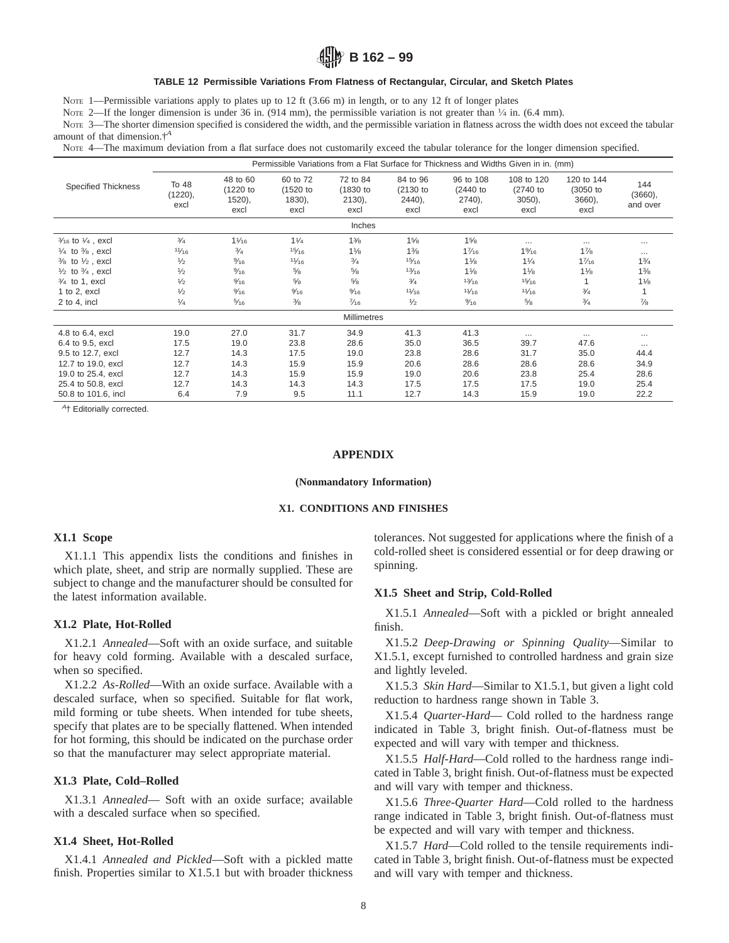# **B 162 – 99**

### **TABLE 12 Permissible Variations From Flatness of Rectangular, Circular, and Sketch Plates**

Note 1—Permissible variations apply to plates up to 12 ft (3.66 m) in length, or to any 12 ft of longer plates

NOTE 2—If the longer dimension is under 36 in. (914 mm), the permissible variation is not greater than  $\frac{1}{4}$  in. (6.4 mm).

Note 3—The shorter dimension specified is considered the width, and the permissible variation in flatness across the width does not exceed the tabular amount of that dimension.†*<sup>A</sup>*

NOTE 4—The maximum deviation from a flat surface does not customarily exceed the tabular tolerance for the longer dimension specified.

|                                        | Permissible Variations from a Flat Surface for Thickness and Widths Given in in. (mm) |                                       |                                       |                                           |                                              |                                          |                                               |                                         |                            |  |  |
|----------------------------------------|---------------------------------------------------------------------------------------|---------------------------------------|---------------------------------------|-------------------------------------------|----------------------------------------------|------------------------------------------|-----------------------------------------------|-----------------------------------------|----------------------------|--|--|
| <b>Specified Thickness</b>             | To 48<br>(1220),<br>excl                                                              | 48 to 60<br>(1220 to<br>1520,<br>excl | 60 to 72<br>(1520 to<br>1830,<br>excl | 72 to 84<br>(1830 to<br>$2130$ ),<br>excl | 84 to 96<br>$(2130)$ to<br>$2440$ ),<br>excl | 96 to 108<br>(2440)<br>$2740$ ),<br>excl | 108 to 120<br>$(2740)$ to<br>$3050$ ,<br>excl | 120 to 144<br>(3050 to<br>3660,<br>excl | 144<br>(3660),<br>and over |  |  |
| Inches                                 |                                                                                       |                                       |                                       |                                           |                                              |                                          |                                               |                                         |                            |  |  |
| $\frac{3}{16}$ to $\frac{1}{4}$ , excl | 3/4                                                                                   | $1\frac{1}{16}$                       | $1\frac{1}{4}$                        | $1\frac{3}{8}$                            | 15/8                                         | 15/8                                     | $\cdots$                                      | $\cdots$                                | $\cdots$                   |  |  |
| $\frac{1}{4}$ to $\frac{3}{8}$ , excl  | 11/16                                                                                 | $\frac{3}{4}$                         | 15/16                                 | $1\frac{1}{8}$                            | $1\frac{3}{8}$                               | 17/16                                    | $1\%6$                                        | 17/8                                    | $\cdots$                   |  |  |
| $\frac{3}{8}$ to $\frac{1}{2}$ , excl  | $\frac{1}{2}$                                                                         | $\frac{9}{16}$                        | 11/16                                 | $\frac{3}{4}$                             | 15/16                                        | $1\frac{1}{8}$                           | 11/4                                          | 17/16                                   | 1 <sup>3</sup> /4          |  |  |
| $\frac{1}{2}$ to $\frac{3}{4}$ , excl  | $\frac{1}{2}$                                                                         | $\frac{9}{16}$                        | $\frac{5}{8}$                         | $\frac{5}{8}$                             | 13/16                                        | $1\frac{1}{8}$                           | $1\frac{1}{8}$                                | $1\frac{1}{8}$                          | $1\frac{3}{8}$             |  |  |
| $\frac{3}{4}$ to 1, excl               | $\frac{1}{2}$                                                                         | $\frac{9}{16}$                        | $\frac{5}{8}$                         | $\frac{5}{8}$                             | $\frac{3}{4}$                                | 13/16                                    | 15/16                                         | 1                                       | $1\frac{1}{8}$             |  |  |
| 1 to 2, excl                           | $\frac{1}{2}$                                                                         | $\frac{9}{16}$                        | $\frac{9}{16}$                        | $\frac{9}{16}$                            | 11/16                                        | 11/16                                    | 11/16                                         | $\frac{3}{4}$                           | 1                          |  |  |
| $2$ to 4, incl                         | 1/4                                                                                   | $\frac{5}{16}$                        | $\frac{3}{8}$                         | $\frac{7}{16}$                            | $\frac{1}{2}$                                | $\frac{9}{16}$                           | $\frac{5}{8}$                                 | $\frac{3}{4}$                           | $\frac{7}{8}$              |  |  |
|                                        | <b>Millimetres</b>                                                                    |                                       |                                       |                                           |                                              |                                          |                                               |                                         |                            |  |  |
| 4.8 to 6.4, excl                       | 19.0                                                                                  | 27.0                                  | 31.7                                  | 34.9                                      | 41.3                                         | 41.3                                     | $\cdots$                                      | $\cdots$                                | $\cdots$                   |  |  |
| 6.4 to 9.5, excl                       | 17.5                                                                                  | 19.0                                  | 23.8                                  | 28.6                                      | 35.0                                         | 36.5                                     | 39.7                                          | 47.6                                    | $\cdots$                   |  |  |
| 9.5 to 12.7, excl                      | 12.7                                                                                  | 14.3                                  | 17.5                                  | 19.0                                      | 23.8                                         | 28.6                                     | 31.7                                          | 35.0                                    | 44.4                       |  |  |
| 12.7 to 19.0, excl                     | 12.7                                                                                  | 14.3                                  | 15.9                                  | 15.9                                      | 20.6                                         | 28.6                                     | 28.6                                          | 28.6                                    | 34.9                       |  |  |
| 19.0 to 25.4, excl                     | 12.7                                                                                  | 14.3                                  | 15.9                                  | 15.9                                      | 19.0                                         | 20.6                                     | 23.8                                          | 25.4                                    | 28.6                       |  |  |
| 25.4 to 50.8, excl                     | 12.7                                                                                  | 14.3                                  | 14.3                                  | 14.3                                      | 17.5                                         | 17.5                                     | 17.5                                          | 19.0                                    | 25.4                       |  |  |
| 50.8 to 101.6, incl                    | 6.4                                                                                   | 7.9                                   | 9.5                                   | 11.1                                      | 12.7                                         | 14.3                                     | 15.9                                          | 19.0                                    | 22.2                       |  |  |

<sup>4</sup>† Editorially corrected.

### **APPENDIX**

### **(Nonmandatory Information)**

### **X1. CONDITIONS AND FINISHES**

## **X1.1 Scope**

X1.1.1 This appendix lists the conditions and finishes in which plate, sheet, and strip are normally supplied. These are subject to change and the manufacturer should be consulted for the latest information available.

#### **X1.2 Plate, Hot-Rolled**

X1.2.1 *Annealed*—Soft with an oxide surface, and suitable for heavy cold forming. Available with a descaled surface, when so specified.

X1.2.2 *As-Rolled*—With an oxide surface. Available with a descaled surface, when so specified. Suitable for flat work, mild forming or tube sheets. When intended for tube sheets, specify that plates are to be specially flattened. When intended for hot forming, this should be indicated on the purchase order so that the manufacturer may select appropriate material.

### **X1.3 Plate, Cold–Rolled**

X1.3.1 *Annealed*— Soft with an oxide surface; available with a descaled surface when so specified.

### **X1.4 Sheet, Hot-Rolled**

X1.4.1 *Annealed and Pickled*—Soft with a pickled matte finish. Properties similar to X1.5.1 but with broader thickness tolerances. Not suggested for applications where the finish of a cold-rolled sheet is considered essential or for deep drawing or spinning.

### **X1.5 Sheet and Strip, Cold-Rolled**

X1.5.1 *Annealed*—Soft with a pickled or bright annealed finish.

X1.5.2 *Deep-Drawing or Spinning Quality*—Similar to X1.5.1, except furnished to controlled hardness and grain size and lightly leveled.

X1.5.3 *Skin Hard*—Similar to X1.5.1, but given a light cold reduction to hardness range shown in Table 3.

X1.5.4 *Quarter-Hard*— Cold rolled to the hardness range indicated in Table 3, bright finish. Out-of-flatness must be expected and will vary with temper and thickness.

X1.5.5 *Half-Hard*—Cold rolled to the hardness range indicated in Table 3, bright finish. Out-of-flatness must be expected and will vary with temper and thickness.

X1.5.6 *Three-Quarter Hard*—Cold rolled to the hardness range indicated in Table 3, bright finish. Out-of-flatness must be expected and will vary with temper and thickness.

X1.5.7 *Hard*—Cold rolled to the tensile requirements indicated in Table 3, bright finish. Out-of-flatness must be expected and will vary with temper and thickness.